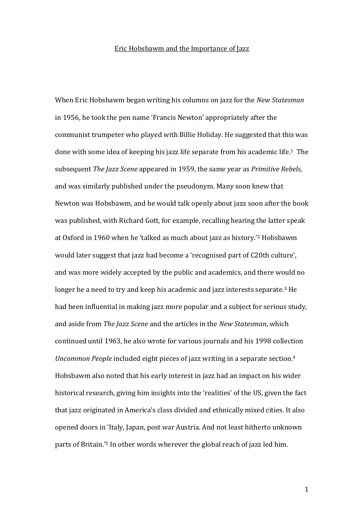## Eric Hobsbawm and the Importance of Jazz

When Eric Hobsbawm began writing his columns on jazz for the *New Statesman* in 1956, he took the pen name 'Francis Newton' appropriately after the communist trumpeter who played with Billie Holiday. He suggested that this was done with some idea of keeping his jazz life separate from his academic life.<sup>1</sup> The subsequent *The Jazz Scene* appeared in 1959, the same year as *Primitive Rebels*, and was similarly published under the pseudonym. Many soon knew that Newton was Hobsbawm, and he would talk openly about jazz soon after the book was published, with Richard Gott, for example, recalling hearing the latter speak at Oxford in 1960 when he 'talked as much about jazz as history.'<sup>2</sup> Hobsbawm would later suggest that jazz had become a 'recognised part of C20th culture', and was more widely accepted by the public and academics, and there would no longer be a need to try and keep his academic and jazz interests separate.<sup>3</sup> He had been influential in making jazz more popular and a subject for serious study, and aside from *The Jazz Scene* and the articles in the *New Statesman*, which continued until 1963, he also wrote for various journals and his 1998 collection *Uncommon People* included eight pieces of jazz writing in a separate section.<sup>4</sup> Hobsbawm also noted that his early interest in jazz had an impact on his wider historical research, giving him insights into the 'realities' of the US, given the fact that jazz originated in America's class divided and ethnically mixed cities. It also opened doors in 'Italy, Japan, post war Austria. And not least hitherto unknown parts of Britain.'<sup>5</sup> In other words wherever the global reach of jazz led him.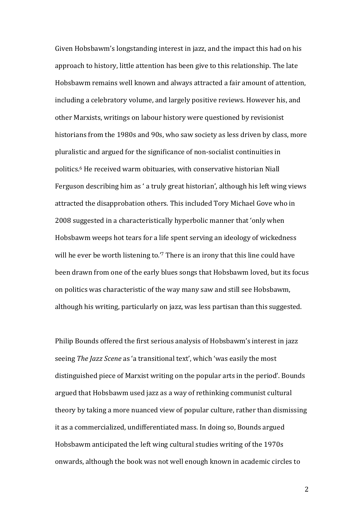Given Hobsbawm's longstanding interest in jazz, and the impact this had on his approach to history, little attention has been give to this relationship. The late Hobsbawm remains well known and always attracted a fair amount of attention, including a celebratory volume, and largely positive reviews. However his, and other Marxists, writings on labour history were questioned by revisionist historians from the 1980s and 90s, who saw society as less driven by class, more pluralistic and argued for the significance of non-socialist continuities in politics.<sup>6</sup> He received warm obituaries, with conservative historian Niall Ferguson describing him as ' a truly great historian', although his left wing views attracted the disapprobation others. This included Tory Michael Gove who in 2008 suggested in a characteristically hyperbolic manner that 'only when Hobsbawm weeps hot tears for a life spent serving an ideology of wickedness will he ever be worth listening to.<sup>'7</sup> There is an irony that this line could have been drawn from one of the early blues songs that Hobsbawm loved, but its focus on politics was characteristic of the way many saw and still see Hobsbawm, although his writing, particularly on jazz, was less partisan than this suggested.

Philip Bounds offered the first serious analysis of Hobsbawm's interest in jazz seeing *The Jazz Scene* as 'a transitional text', which 'was easily the most distinguished piece of Marxist writing on the popular arts in the period'. Bounds argued that Hobsbawm used jazz as a way of rethinking communist cultural theory by taking a more nuanced view of popular culture, rather than dismissing it as a commercialized, undifferentiated mass. In doing so, Bounds argued Hobsbawm anticipated the left wing cultural studies writing of the 1970s onwards, although the book was not well enough known in academic circles to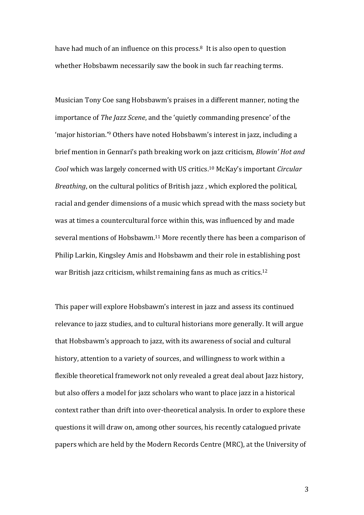have had much of an influence on this process. $8$  It is also open to question whether Hobsbawm necessarily saw the book in such far reaching terms.

Musician Tony Coe sang Hobsbawm's praises in a different manner, noting the importance of *The Jazz Scene*, and the 'quietly commanding presence' of the 'major historian.'<sup>9</sup> Others have noted Hobsbawm's interest in jazz, including a brief mention in Gennari's path breaking work on jazz criticism, *Blowin' Hot and Cool* which was largely concerned with US critics. <sup>10</sup> McKay's important *Circular Breathing*, on the cultural politics of British jazz , which explored the political, racial and gender dimensions of a music which spread with the mass society but was at times a countercultural force within this, was influenced by and made several mentions of Hobsbawm.<sup>11</sup> More recently there has been a comparison of Philip Larkin, Kingsley Amis and Hobsbawm and their role in establishing post war British jazz criticism, whilst remaining fans as much as critics. 12

This paper will explore Hobsbawm's interest in jazz and assess its continued relevance to jazz studies, and to cultural historians more generally. It will argue that Hobsbawm's approach to jazz, with its awareness of social and cultural history, attention to a variety of sources, and willingness to work within a flexible theoretical framework not only revealed a great deal about Jazz history, but also offers a model for jazz scholars who want to place jazz in a historical context rather than drift into over-theoretical analysis. In order to explore these questions it will draw on, among other sources, his recently catalogued private papers which are held by the Modern Records Centre (MRC), at the University of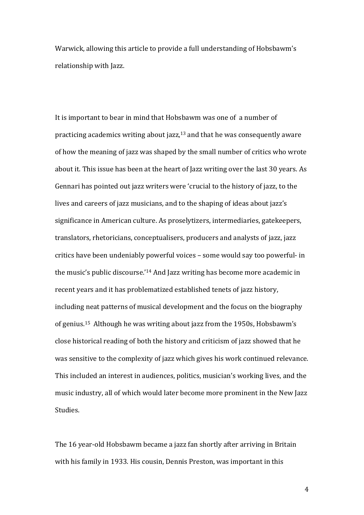Warwick, allowing this article to provide a full understanding of Hobsbawm's relationship with Jazz.

It is important to bear in mind that Hobsbawm was one of a number of practicing academics writing about jazz, <sup>13</sup> and that he was consequently aware of how the meaning of jazz was shaped by the small number of critics who wrote about it. This issue has been at the heart of Jazz writing over the last 30 years. As Gennari has pointed out jazz writers were 'crucial to the history of jazz, to the lives and careers of jazz musicians, and to the shaping of ideas about jazz's significance in American culture. As proselytizers, intermediaries, gatekeepers, translators, rhetoricians, conceptualisers, producers and analysts of jazz, jazz critics have been undeniably powerful voices – some would say too powerful- in the music's public discourse.'<sup>14</sup> And Jazz writing has become more academic in recent years and it has problematized established tenets of jazz history, including neat patterns of musical development and the focus on the biography of genius.<sup>15</sup> Although he was writing about jazz from the 1950s, Hobsbawm's close historical reading of both the history and criticism of jazz showed that he was sensitive to the complexity of jazz which gives his work continued relevance. This included an interest in audiences, politics, musician's working lives, and the music industry, all of which would later become more prominent in the New Jazz Studies.

The 16 year-old Hobsbawm became a jazz fan shortly after arriving in Britain with his family in 1933. His cousin, Dennis Preston, was important in this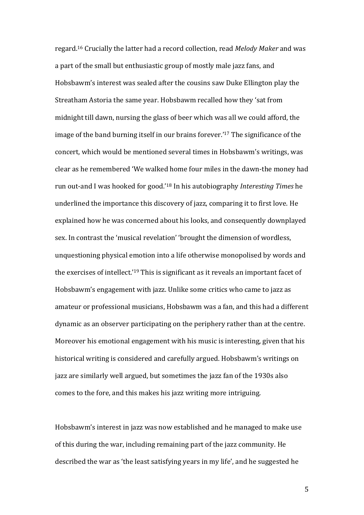regard. <sup>16</sup> Crucially the latter had a record collection, read *Melody Maker* and was a part of the small but enthusiastic group of mostly male jazz fans, and Hobsbawm's interest was sealed after the cousins saw Duke Ellington play the Streatham Astoria the same year. Hobsbawm recalled how they 'sat from midnight till dawn, nursing the glass of beer which was all we could afford, the image of the band burning itself in our brains forever.' <sup>17</sup> The significance of the concert, which would be mentioned several times in Hobsbawm's writings, was clear as he remembered 'We walked home four miles in the dawn-the money had run out-and I was hooked for good.'<sup>18</sup> In his autobiography *Interesting Times* he underlined the importance this discovery of jazz, comparing it to first love. He explained how he was concerned about his looks, and consequently downplayed sex. In contrast the 'musical revelation' 'brought the dimension of wordless, unquestioning physical emotion into a life otherwise monopolised by words and the exercises of intellect.'<sup>19</sup> This is significant as it reveals an important facet of Hobsbawm's engagement with jazz. Unlike some critics who came to jazz as amateur or professional musicians, Hobsbawm was a fan, and this had a different dynamic as an observer participating on the periphery rather than at the centre. Moreover his emotional engagement with his music is interesting, given that his historical writing is considered and carefully argued. Hobsbawm's writings on jazz are similarly well argued, but sometimes the jazz fan of the 1930s also comes to the fore, and this makes his jazz writing more intriguing.

Hobsbawm's interest in jazz was now established and he managed to make use of this during the war, including remaining part of the jazz community. He described the war as 'the least satisfying years in my life', and he suggested he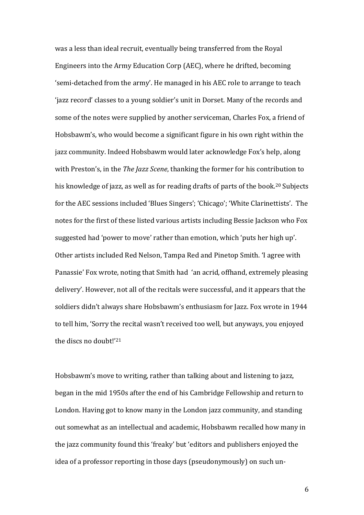was a less than ideal recruit, eventually being transferred from the Royal Engineers into the Army Education Corp (AEC), where he drifted, becoming 'semi-detached from the army'. He managed in his AEC role to arrange to teach 'jazz record' classes to a young soldier's unit in Dorset. Many of the records and some of the notes were supplied by another serviceman, Charles Fox, a friend of Hobsbawm's, who would become a significant figure in his own right within the jazz community. Indeed Hobsbawm would later acknowledge Fox's help, along with Preston's, in the *The Jazz Scene*, thanking the former for his contribution to his knowledge of jazz, as well as for reading drafts of parts of the book.<sup>20</sup> Subjects for the AEC sessions included 'Blues Singers'; 'Chicago'; 'White Clarinettists'. The notes for the first of these listed various artists including Bessie Jackson who Fox suggested had 'power to move' rather than emotion, which 'puts her high up'. Other artists included Red Nelson, Tampa Red and Pinetop Smith. 'I agree with Panassie' Fox wrote, noting that Smith had 'an acrid, offhand, extremely pleasing delivery'. However, not all of the recitals were successful, and it appears that the soldiers didn't always share Hobsbawm's enthusiasm for Jazz. Fox wrote in 1944 to tell him, 'Sorry the recital wasn't received too well, but anyways, you enjoyed the discs no doubt!'<sup>21</sup>

Hobsbawm's move to writing, rather than talking about and listening to jazz, began in the mid 1950s after the end of his Cambridge Fellowship and return to London. Having got to know many in the London jazz community, and standing out somewhat as an intellectual and academic, Hobsbawm recalled how many in the jazz community found this 'freaky' but 'editors and publishers enjoyed the idea of a professor reporting in those days (pseudonymously) on such un-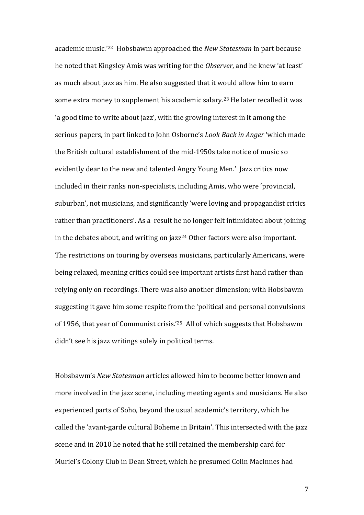academic music.'22 Hobsbawm approached the *New Statesman* in part because he noted that Kingsley Amis was writing for the *Observer*, and he knew 'at least' as much about jazz as him. He also suggested that it would allow him to earn some extra money to supplement his academic salary.<sup>23</sup> He later recalled it was 'a good time to write about jazz', with the growing interest in it among the serious papers, in part linked to John Osborne's *Look Back in Anger* 'which made the British cultural establishment of the mid-1950s take notice of music so evidently dear to the new and talented Angry Young Men.' Jazz critics now included in their ranks non-specialists, including Amis, who were 'provincial, suburban', not musicians, and significantly 'were loving and propagandist critics rather than practitioners'. As a result he no longer felt intimidated about joining in the debates about, and writing on jazz $24$  Other factors were also important. The restrictions on touring by overseas musicians, particularly Americans, were being relaxed, meaning critics could see important artists first hand rather than relying only on recordings. There was also another dimension; with Hobsbawm suggesting it gave him some respite from the 'political and personal convulsions of 1956, that year of Communist crisis.'<sup>25</sup> All of which suggests that Hobsbawm didn't see his jazz writings solely in political terms.

Hobsbawm's *New Statesman* articles allowed him to become better known and more involved in the jazz scene, including meeting agents and musicians. He also experienced parts of Soho, beyond the usual academic's territory, which he called the 'avant-garde cultural Boheme in Britain'. This intersected with the jazz scene and in 2010 he noted that he still retained the membership card for Muriel's Colony Club in Dean Street, which he presumed Colin MacInnes had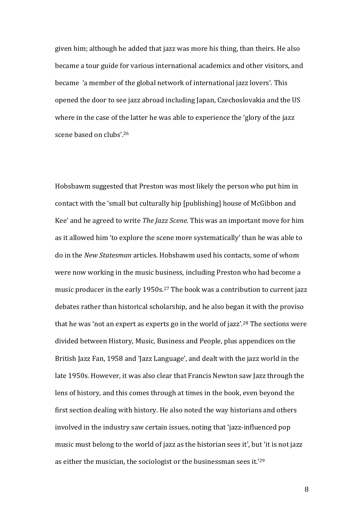given him; although he added that jazz was more his thing, than theirs. He also became a tour guide for various international academics and other visitors, and became 'a member of the global network of international jazz lovers'. This opened the door to see jazz abroad including Japan, Czechoslovakia and the US where in the case of the latter he was able to experience the 'glory of the jazz scene based on clubs'.<sup>26</sup>

Hobsbawm suggested that Preston was most likely the person who put him in contact with the 'small but culturally hip [publishing] house of McGibbon and Kee' and he agreed to write *The Jazz Scene*. This was an important move for him as it allowed him 'to explore the scene more systematically' than he was able to do in the *New Statesman* articles. Hobsbawm used his contacts, some of whom were now working in the music business, including Preston who had become a music producer in the early 1950s. <sup>27</sup> The book was a contribution to current jazz debates rather than historical scholarship, and he also began it with the proviso that he was 'not an expert as experts go in the world of jazz'. <sup>28</sup> The sections were divided between History, Music, Business and People, plus appendices on the British Jazz Fan, 1958 and 'Jazz Language', and dealt with the jazz world in the late 1950s. However, it was also clear that Francis Newton saw Jazz through the lens of history, and this comes through at times in the book, even beyond the first section dealing with history. He also noted the way historians and others involved in the industry saw certain issues, noting that 'jazz-influenced pop music must belong to the world of jazz as the historian sees it', but 'it is not jazz as either the musician, the sociologist or the businessman sees it.'29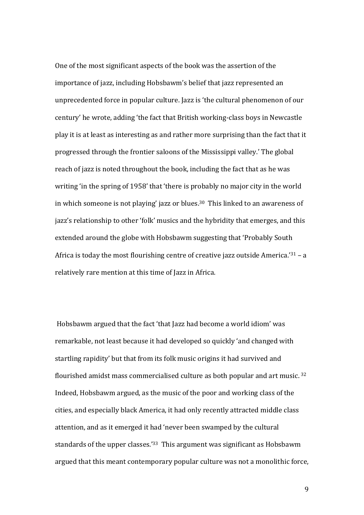One of the most significant aspects of the book was the assertion of the importance of jazz, including Hobsbawm's belief that jazz represented an unprecedented force in popular culture. Jazz is 'the cultural phenomenon of our century' he wrote, adding 'the fact that British working-class boys in Newcastle play it is at least as interesting as and rather more surprising than the fact that it progressed through the frontier saloons of the Mississippi valley.' The global reach of jazz is noted throughout the book, including the fact that as he was writing 'in the spring of 1958' that 'there is probably no major city in the world in which someone is not playing' jazz or blues. <sup>30</sup> This linked to an awareness of jazz's relationship to other 'folk' musics and the hybridity that emerges, and this extended around the globe with Hobsbawm suggesting that 'Probably South Africa is today the most flourishing centre of creative jazz outside America.'<sup>31</sup> – a relatively rare mention at this time of Jazz in Africa.

Hobsbawm argued that the fact 'that Jazz had become a world idiom' was remarkable, not least because it had developed so quickly 'and changed with startling rapidity' but that from its folk music origins it had survived and flourished amidst mass commercialised culture as both popular and art music. <sup>32</sup> Indeed, Hobsbawm argued, as the music of the poor and working class of the cities, and especially black America, it had only recently attracted middle class attention, and as it emerged it had 'never been swamped by the cultural standards of the upper classes.'33 This argument was significant as Hobsbawm argued that this meant contemporary popular culture was not a monolithic force,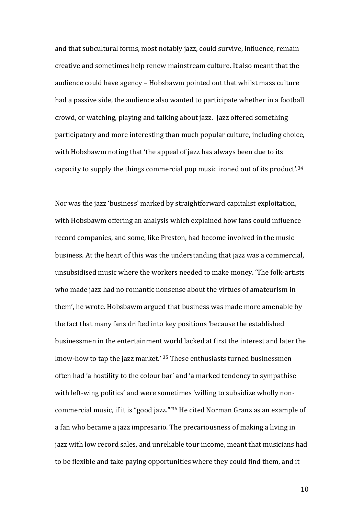and that subcultural forms, most notably jazz, could survive, influence, remain creative and sometimes help renew mainstream culture. It also meant that the audience could have agency – Hobsbawm pointed out that whilst mass culture had a passive side, the audience also wanted to participate whether in a football crowd, or watching, playing and talking about jazz. Jazz offered something participatory and more interesting than much popular culture, including choice, with Hobsbawm noting that 'the appeal of jazz has always been due to its capacity to supply the things commercial pop music ironed out of its product'. 34

Nor was the jazz 'business' marked by straightforward capitalist exploitation, with Hobsbawm offering an analysis which explained how fans could influence record companies, and some, like Preston, had become involved in the music business. At the heart of this was the understanding that jazz was a commercial, unsubsidised music where the workers needed to make money. 'The folk-artists who made jazz had no romantic nonsense about the virtues of amateurism in them', he wrote. Hobsbawm argued that business was made more amenable by the fact that many fans drifted into key positions 'because the established businessmen in the entertainment world lacked at first the interest and later the know-how to tap the jazz market.' <sup>35</sup> These enthusiasts turned businessmen often had 'a hostility to the colour bar' and 'a marked tendency to sympathise with left-wing politics' and were sometimes 'willing to subsidize wholly noncommercial music, if it is "good jazz."' <sup>36</sup> He cited Norman Granz as an example of a fan who became a jazz impresario. The precariousness of making a living in jazz with low record sales, and unreliable tour income, meant that musicians had to be flexible and take paying opportunities where they could find them, and it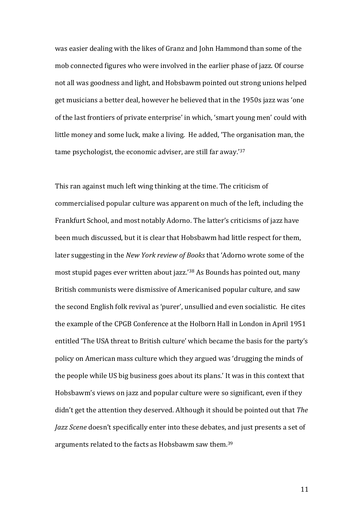was easier dealing with the likes of Granz and John Hammond than some of the mob connected figures who were involved in the earlier phase of jazz. Of course not all was goodness and light, and Hobsbawm pointed out strong unions helped get musicians a better deal, however he believed that in the 1950s jazz was 'one of the last frontiers of private enterprise' in which, 'smart young men' could with little money and some luck, make a living. He added, 'The organisation man, the tame psychologist, the economic adviser, are still far away.'<sup>37</sup>

This ran against much left wing thinking at the time. The criticism of commercialised popular culture was apparent on much of the left, including the Frankfurt School, and most notably Adorno. The latter's criticisms of jazz have been much discussed, but it is clear that Hobsbawm had little respect for them, later suggesting in the *New York review of Books* that 'Adorno wrote some of the most stupid pages ever written about jazz.' <sup>38</sup> As Bounds has pointed out, many British communists were dismissive of Americanised popular culture, and saw the second English folk revival as 'purer', unsullied and even socialistic. He cites the example of the CPGB Conference at the Holborn Hall in London in April 1951 entitled 'The USA threat to British culture' which became the basis for the party's policy on American mass culture which they argued was 'drugging the minds of the people while US big business goes about its plans.' It was in this context that Hobsbawm's views on jazz and popular culture were so significant, even if they didn't get the attention they deserved. Although it should be pointed out that *The Jazz Scene* doesn't specifically enter into these debates, and just presents a set of arguments related to the facts as Hobsbawm saw them.39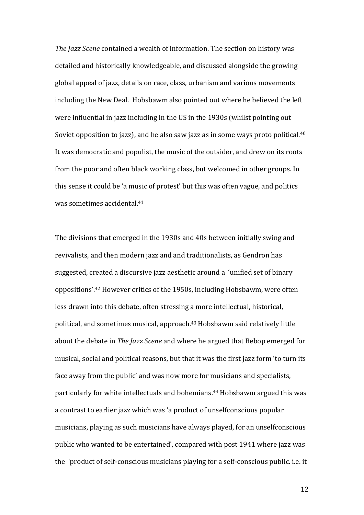*The Jazz Scene* contained a wealth of information. The section on history was detailed and historically knowledgeable, and discussed alongside the growing global appeal of jazz, details on race, class, urbanism and various movements including the New Deal. Hobsbawm also pointed out where he believed the left were influential in jazz including in the US in the 1930s (whilst pointing out Soviet opposition to jazz), and he also saw jazz as in some ways proto political.<sup>40</sup> It was democratic and populist, the music of the outsider, and drew on its roots from the poor and often black working class, but welcomed in other groups. In this sense it could be 'a music of protest' but this was often vague, and politics was sometimes accidental.<sup>41</sup>

The divisions that emerged in the 1930s and 40s between initially swing and revivalists, and then modern jazz and and traditionalists, as Gendron has suggested, created a discursive jazz aesthetic around a 'unified set of binary oppositions'.<sup>42</sup> However critics of the 1950s, including Hobsbawm, were often less drawn into this debate, often stressing a more intellectual, historical, political, and sometimes musical, approach. <sup>43</sup> Hobsbawm said relatively little about the debate in *The Jazz Scene* and where he argued that Bebop emerged for musical, social and political reasons, but that it was the first jazz form 'to turn its face away from the public' and was now more for musicians and specialists, particularly for white intellectuals and bohemians. <sup>44</sup> Hobsbawm argued this was a contrast to earlier jazz which was 'a product of unselfconscious popular musicians, playing as such musicians have always played, for an unselfconscious public who wanted to be entertained', compared with post 1941 where jazz was the 'product of self-conscious musicians playing for a self-conscious public. i.e. it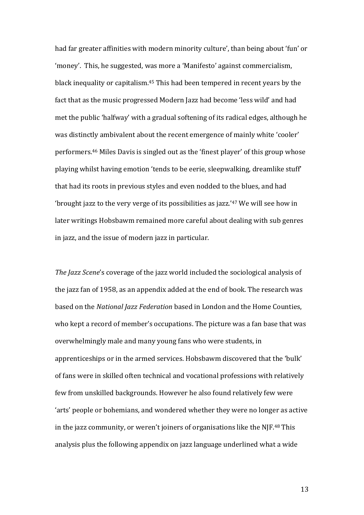had far greater affinities with modern minority culture', than being about 'fun' or 'money'. This, he suggested, was more a 'Manifesto' against commercialism, black inequality or capitalism.<sup>45</sup> This had been tempered in recent years by the fact that as the music progressed Modern Jazz had become 'less wild' and had met the public 'halfway' with a gradual softening of its radical edges, although he was distinctly ambivalent about the recent emergence of mainly white 'cooler' performers.<sup>46</sup> Miles Davis is singled out as the 'finest player' of this group whose playing whilst having emotion 'tends to be eerie, sleepwalking, dreamlike stuff' that had its roots in previous styles and even nodded to the blues, and had 'brought jazz to the very verge of its possibilities as jazz.'<sup>47</sup> We will see how in later writings Hobsbawm remained more careful about dealing with sub genres in jazz, and the issue of modern jazz in particular.

*The Jazz Scene*'s coverage of the jazz world included the sociological analysis of the jazz fan of 1958, as an appendix added at the end of book. The research was based on the *National Jazz Federation* based in London and the Home Counties, who kept a record of member's occupations. The picture was a fan base that was overwhelmingly male and many young fans who were students, in apprenticeships or in the armed services. Hobsbawm discovered that the 'bulk' of fans were in skilled often technical and vocational professions with relatively few from unskilled backgrounds. However he also found relatively few were 'arts' people or bohemians, and wondered whether they were no longer as active in the jazz community, or weren't joiners of organisations like the NJF.<sup>48</sup> This analysis plus the following appendix on jazz language underlined what a wide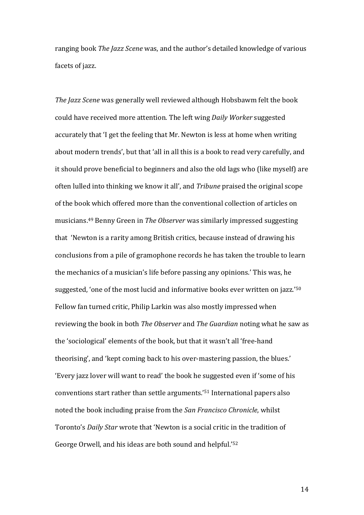ranging book *The Jazz Scene* was, and the author's detailed knowledge of various facets of jazz.

*The Jazz Scene* was generally well reviewed although Hobsbawm felt the book could have received more attention. The left wing *Daily Worker* suggested accurately that 'I get the feeling that Mr. Newton is less at home when writing about modern trends', but that 'all in all this is a book to read very carefully, and it should prove beneficial to beginners and also the old lags who (like myself) are often lulled into thinking we know it all', and *Tribune* praised the original scope of the book which offered more than the conventional collection of articles on musicians.<sup>49</sup> Benny Green in *The Observer* was similarly impressed suggesting that 'Newton is a rarity among British critics, because instead of drawing his conclusions from a pile of gramophone records he has taken the trouble to learn the mechanics of a musician's life before passing any opinions.' This was, he suggested, 'one of the most lucid and informative books ever written on jazz.'<sup>50</sup> Fellow fan turned critic, Philip Larkin was also mostly impressed when reviewing the book in both *The Observer* and *The Guardian* noting what he saw as the 'sociological' elements of the book, but that it wasn't all 'free-hand theorising', and 'kept coming back to his over-mastering passion, the blues.' 'Every jazz lover will want to read' the book he suggested even if 'some of his conventions start rather than settle arguments.'<sup>51</sup> International papers also noted the book including praise from the *San Francisco Chronicle*, whilst Toronto's *Daily Star* wrote that 'Newton is a social critic in the tradition of George Orwell, and his ideas are both sound and helpful.'52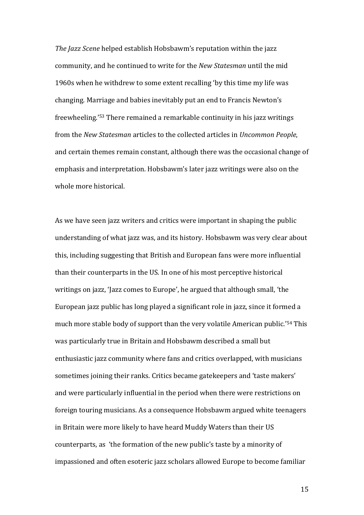*The Jazz Scene* helped establish Hobsbawm's reputation within the jazz community, and he continued to write for the *New Statesman* until the mid 1960s when he withdrew to some extent recalling 'by this time my life was changing. Marriage and babies inevitably put an end to Francis Newton's freewheeling.'<sup>53</sup> There remained a remarkable continuity in his jazz writings from the *New Statesman* articles to the collected articles in *Uncommon People*, and certain themes remain constant, although there was the occasional change of emphasis and interpretation. Hobsbawm's later jazz writings were also on the whole more historical.

As we have seen jazz writers and critics were important in shaping the public understanding of what jazz was, and its history. Hobsbawm was very clear about this, including suggesting that British and European fans were more influential than their counterparts in the US. In one of his most perceptive historical writings on jazz, 'Jazz comes to Europe', he argued that although small, 'the European jazz public has long played a significant role in jazz, since it formed a much more stable body of support than the very volatile American public.'<sup>54</sup> This was particularly true in Britain and Hobsbawm described a small but enthusiastic jazz community where fans and critics overlapped, with musicians sometimes joining their ranks. Critics became gatekeepers and 'taste makers' and were particularly influential in the period when there were restrictions on foreign touring musicians. As a consequence Hobsbawm argued white teenagers in Britain were more likely to have heard Muddy Waters than their US counterparts, as 'the formation of the new public's taste by a minority of impassioned and often esoteric jazz scholars allowed Europe to become familiar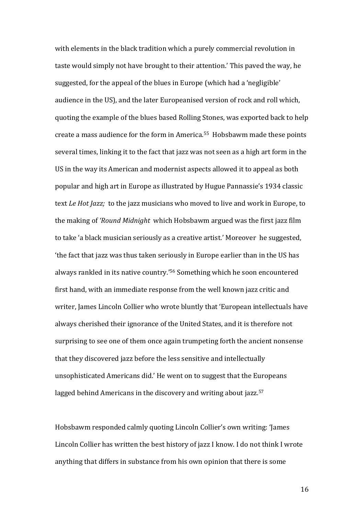with elements in the black tradition which a purely commercial revolution in taste would simply not have brought to their attention.' This paved the way, he suggested, for the appeal of the blues in Europe (which had a 'negligible' audience in the US), and the later Europeanised version of rock and roll which, quoting the example of the blues based Rolling Stones, was exported back to help create a mass audience for the form in America.<sup>55</sup> Hobsbawm made these points several times, linking it to the fact that jazz was not seen as a high art form in the US in the way its American and modernist aspects allowed it to appeal as both popular and high art in Europe as illustrated by Hugue Pannassie's 1934 classic text *Le Hot Jazz;* to the jazz musicians who moved to live and work in Europe, to the making of *'Round Midnight* which Hobsbawm argued was the first jazz film to take 'a black musician seriously as a creative artist.' Moreover he suggested, 'the fact that jazz was thus taken seriously in Europe earlier than in the US has always rankled in its native country.'<sup>56</sup> Something which he soon encountered first hand, with an immediate response from the well known jazz critic and writer, James Lincoln Collier who wrote bluntly that 'European intellectuals have always cherished their ignorance of the United States, and it is therefore not surprising to see one of them once again trumpeting forth the ancient nonsense that they discovered jazz before the less sensitive and intellectually unsophisticated Americans did.' He went on to suggest that the Europeans lagged behind Americans in the discovery and writing about jazz.<sup>57</sup>

Hobsbawm responded calmly quoting Lincoln Collier's own writing: 'James Lincoln Collier has written the best history of jazz I know. I do not think I wrote anything that differs in substance from his own opinion that there is some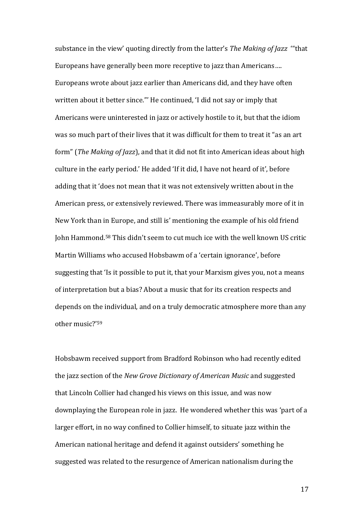substance in the view' quoting directly from the latter's *The Making of Jazz* '"that Europeans have generally been more receptive to jazz than Americans…. Europeans wrote about jazz earlier than Americans did, and they have often written about it better since."' He continued, 'I did not say or imply that Americans were uninterested in jazz or actively hostile to it, but that the idiom was so much part of their lives that it was difficult for them to treat it "as an art form" (*The Making of Jazz*), and that it did not fit into American ideas about high culture in the early period.' He added 'If it did, I have not heard of it', before adding that it 'does not mean that it was not extensively written about in the American press, or extensively reviewed. There was immeasurably more of it in New York than in Europe, and still is' mentioning the example of his old friend John Hammond.<sup>58</sup> This didn't seem to cut much ice with the well known US critic Martin Williams who accused Hobsbawm of a 'certain ignorance', before suggesting that 'Is it possible to put it, that your Marxism gives you, not a means of interpretation but a bias? About a music that for its creation respects and depends on the individual, and on a truly democratic atmosphere more than any other music?'<sup>59</sup>

Hobsbawm received support from Bradford Robinson who had recently edited the jazz section of the *New Grove Dictionary of American Music* and suggested that Lincoln Collier had changed his views on this issue, and was now downplaying the European role in jazz. He wondered whether this was 'part of a larger effort, in no way confined to Collier himself, to situate jazz within the American national heritage and defend it against outsiders' something he suggested was related to the resurgence of American nationalism during the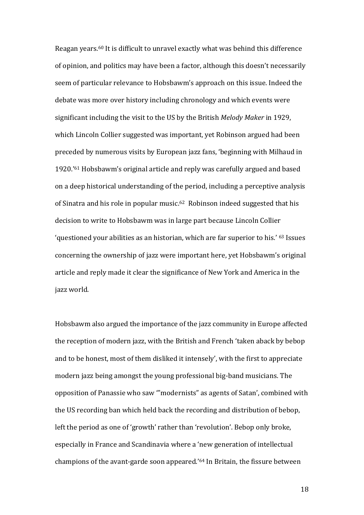Reagan years.<sup>60</sup> It is difficult to unravel exactly what was behind this difference of opinion, and politics may have been a factor, although this doesn't necessarily seem of particular relevance to Hobsbawm's approach on this issue. Indeed the debate was more over history including chronology and which events were significant including the visit to the US by the British *Melody Maker* in 1929, which Lincoln Collier suggested was important, yet Robinson argued had been preceded by numerous visits by European jazz fans, 'beginning with Milhaud in 1920.'<sup>61</sup> Hobsbawm's original article and reply was carefully argued and based on a deep historical understanding of the period, including a perceptive analysis of Sinatra and his role in popular music.<sup>62</sup> Robinson indeed suggested that his decision to write to Hobsbawm was in large part because Lincoln Collier 'questioned your abilities as an historian, which are far superior to his.' <sup>63</sup> Issues concerning the ownership of jazz were important here, yet Hobsbawm's original article and reply made it clear the significance of New York and America in the jazz world.

Hobsbawm also argued the importance of the jazz community in Europe affected the reception of modern jazz, with the British and French 'taken aback by bebop and to be honest, most of them disliked it intensely', with the first to appreciate modern jazz being amongst the young professional big-band musicians. The opposition of Panassie who saw '"modernists" as agents of Satan', combined with the US recording ban which held back the recording and distribution of bebop, left the period as one of 'growth' rather than 'revolution'. Bebop only broke, especially in France and Scandinavia where a 'new generation of intellectual champions of the avant-garde soon appeared.'<sup>64</sup> In Britain, the fissure between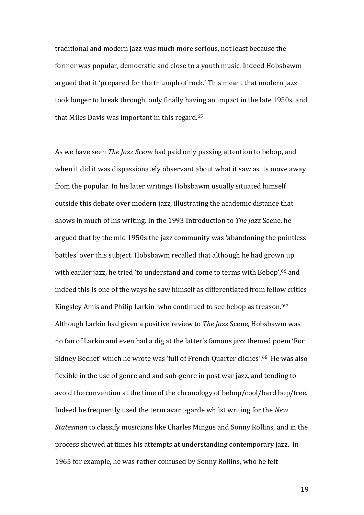traditional and modern jazz was much more serious, not least because the former was popular, democratic and close to a youth music. Indeed Hobsbawm argued that it 'prepared for the triumph of rock.' This meant that modern jazz took longer to break through, only finally having an impact in the late 1950s, and that Miles Davis was important in this regard.<sup>65</sup>

As we have seen *The Jazz Scene* had paid only passing attention to bebop, and when it did it was dispassionately observant about what it saw as its move away from the popular. In his later writings Hobsbawm usually situated himself outside this debate over modern jazz, illustrating the academic distance that shows in much of his writing. In the 1993 Introduction to *The Jazz* Scene, he argued that by the mid 1950s the jazz community was 'abandoning the pointless battles' over this subject. Hobsbawm recalled that although he had grown up with earlier jazz, he tried 'to understand and come to terms with Bebop', 66 and indeed this is one of the ways he saw himself as differentiated from fellow critics Kingsley Amis and Philip Larkin 'who continued to see bebop as treason.'<sup>67</sup> Although Larkin had given a positive review to *The Jazz* Scene, Hobsbawm was no fan of Larkin and even had a dig at the latter's famous jazz themed poem 'For Sidney Bechet' which he wrote was 'full of French Quarter cliches'.<sup>68</sup> He was also flexible in the use of genre and and sub-genre in post war jazz, and tending to avoid the convention at the time of the chronology of bebop/cool/hard bop/free. Indeed he frequently used the term avant-garde whilst writing for the *New Statesman* to classify musicians like Charles Mingus and Sonny Rollins, and in the process showed at times his attempts at understanding contemporary jazz. In 1965 for example, he was rather confused by Sonny Rollins, who he felt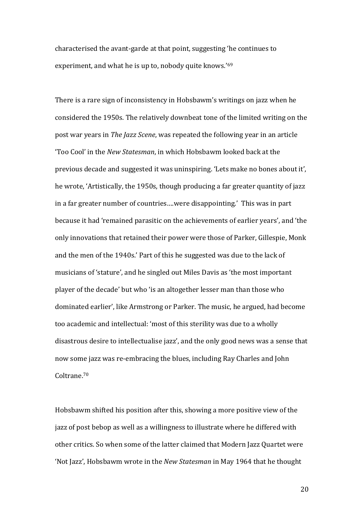characterised the avant-garde at that point, suggesting 'he continues to experiment, and what he is up to, nobody quite knows.'<sup>69</sup>

There is a rare sign of inconsistency in Hobsbawm's writings on jazz when he considered the 1950s. The relatively downbeat tone of the limited writing on the post war years in *The Jazz Scene*, was repeated the following year in an article 'Too Cool' in the *New Statesman*, in which Hobsbawm looked back at the previous decade and suggested it was uninspiring. 'Lets make no bones about it', he wrote, 'Artistically, the 1950s, though producing a far greater quantity of jazz in a far greater number of countries….were disappointing.' This was in part because it had 'remained parasitic on the achievements of earlier years', and 'the only innovations that retained their power were those of Parker, Gillespie, Monk and the men of the 1940s.' Part of this he suggested was due to the lack of musicians of 'stature', and he singled out Miles Davis as 'the most important player of the decade' but who 'is an altogether lesser man than those who dominated earlier', like Armstrong or Parker. The music, he argued, had become too academic and intellectual: 'most of this sterility was due to a wholly disastrous desire to intellectualise jazz', and the only good news was a sense that now some jazz was re-embracing the blues, including Ray Charles and John Coltrane<sup>70</sup>

Hobsbawm shifted his position after this, showing a more positive view of the jazz of post bebop as well as a willingness to illustrate where he differed with other critics. So when some of the latter claimed that Modern Jazz Quartet were 'Not Jazz', Hobsbawm wrote in the *New Statesman* in May 1964 that he thought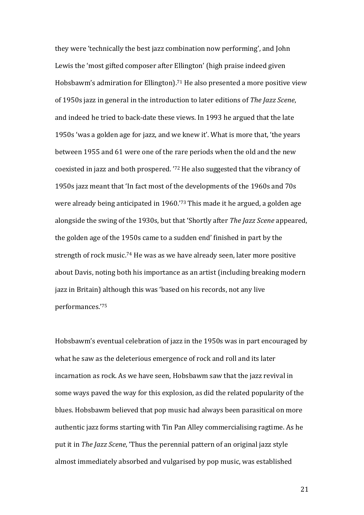they were 'technically the best jazz combination now performing', and John Lewis the 'most gifted composer after Ellington' (high praise indeed given Hobsbawm's admiration for Ellington).<sup>71</sup> He also presented a more positive view of 1950s jazz in general in the introduction to later editions of *The Jazz Scene*, and indeed he tried to back-date these views. In 1993 he argued that the late 1950s 'was a golden age for jazz, and we knew it'. What is more that, 'the years between 1955 and 61 were one of the rare periods when the old and the new coexisted in jazz and both prospered. ' <sup>72</sup> He also suggested that the vibrancy of 1950s jazz meant that 'In fact most of the developments of the 1960s and 70s were already being anticipated in 1960.' <sup>73</sup> This made it he argued, a golden age alongside the swing of the 1930s, but that 'Shortly after *The Jazz Scene* appeared, the golden age of the 1950s came to a sudden end' finished in part by the strength of rock music.<sup>74</sup> He was as we have already seen, later more positive about Davis, noting both his importance as an artist (including breaking modern jazz in Britain) although this was 'based on his records, not any live performances.'<sup>75</sup>

Hobsbawm's eventual celebration of jazz in the 1950s was in part encouraged by what he saw as the deleterious emergence of rock and roll and its later incarnation as rock. As we have seen, Hobsbawm saw that the jazz revival in some ways paved the way for this explosion, as did the related popularity of the blues. Hobsbawm believed that pop music had always been parasitical on more authentic jazz forms starting with Tin Pan Alley commercialising ragtime. As he put it in *The Jazz Scene*, 'Thus the perennial pattern of an original jazz style almost immediately absorbed and vulgarised by pop music, was established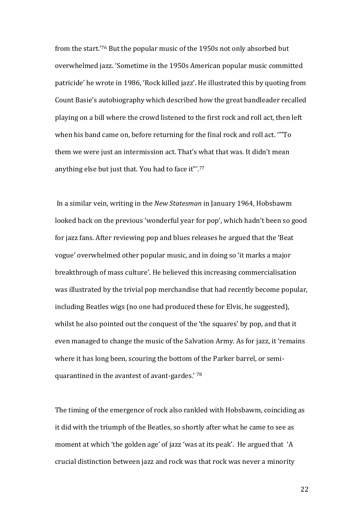from the start.'<sup>76</sup> But the popular music of the 1950s not only absorbed but overwhelmed jazz. 'Sometime in the 1950s American popular music committed patricide' he wrote in 1986, 'Rock killed jazz'. He illustrated this by quoting from Count Basie's autobiography which described how the great bandleader recalled playing on a bill where the crowd listened to the first rock and roll act, then left when his band came on, before returning for the final rock and roll act. '"'To them we were just an intermission act. That's what that was. It didn't mean anything else but just that. You had to face it"'. 77

In a similar vein, writing in the *New Statesman* in January 1964, Hobsbawm looked back on the previous 'wonderful year for pop', which hadn't been so good for jazz fans. After reviewing pop and blues releases he argued that the 'Beat vogue' overwhelmed other popular music, and in doing so 'it marks a major breakthrough of mass culture'. He believed this increasing commercialisation was illustrated by the trivial pop merchandise that had recently become popular, including Beatles wigs (no one had produced these for Elvis, he suggested), whilst he also pointed out the conquest of the 'the squares' by pop, and that it even managed to change the music of the Salvation Army. As for jazz, it 'remains where it has long been, scouring the bottom of the Parker barrel, or semiquarantined in the avantest of avant-gardes.' <sup>78</sup>

The timing of the emergence of rock also rankled with Hobsbawm, coinciding as it did with the triumph of the Beatles, so shortly after what he came to see as moment at which 'the golden age' of jazz 'was at its peak'. He argued that 'A crucial distinction between jazz and rock was that rock was never a minority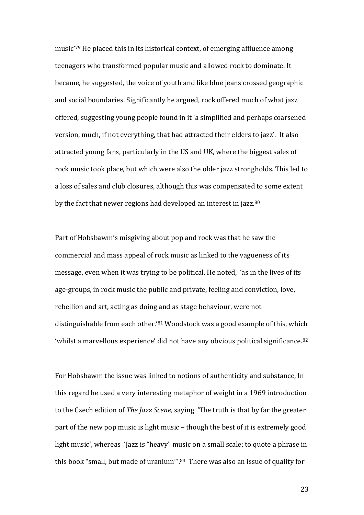music'<sup>79</sup> He placed this in its historical context, of emerging affluence among teenagers who transformed popular music and allowed rock to dominate. It became, he suggested, the voice of youth and like blue jeans crossed geographic and social boundaries. Significantly he argued, rock offered much of what jazz offered, suggesting young people found in it 'a simplified and perhaps coarsened version, much, if not everything, that had attracted their elders to jazz'. It also attracted young fans, particularly in the US and UK, where the biggest sales of rock music took place, but which were also the older jazz strongholds. This led to a loss of sales and club closures, although this was compensated to some extent by the fact that newer regions had developed an interest in jazz.<sup>80</sup>

Part of Hobsbawm's misgiving about pop and rock was that he saw the commercial and mass appeal of rock music as linked to the vagueness of its message, even when it was trying to be political. He noted, 'as in the lives of its age-groups, in rock music the public and private, feeling and conviction, love, rebellion and art, acting as doing and as stage behaviour, were not distinguishable from each other.'<sup>81</sup> Woodstock was a good example of this, which 'whilst a marvellous experience' did not have any obvious political significance.<sup>82</sup>

For Hobsbawm the issue was linked to notions of authenticity and substance, In this regard he used a very interesting metaphor of weight in a 1969 introduction to the Czech edition of *The Jazz Scene*, saying 'The truth is that by far the greater part of the new pop music is light music – though the best of it is extremely good light music', whereas 'Jazz is "heavy" music on a small scale: to quote a phrase in this book "small, but made of uranium"'. <sup>83</sup> There was also an issue of quality for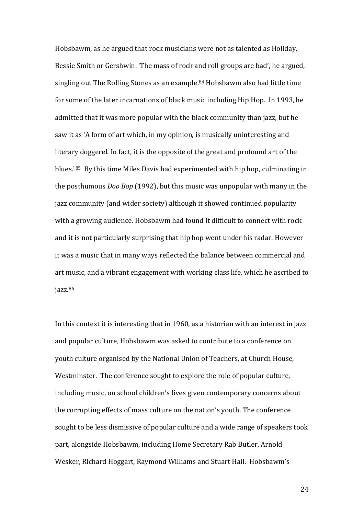Hobsbawm, as he argued that rock musicians were not as talented as Holiday, Bessie Smith or Gershwin. 'The mass of rock and roll groups are bad', he argued, singling out The Rolling Stones as an example. <sup>84</sup> Hobsbawm also had little time for some of the later incarnations of black music including Hip Hop. In 1993, he admitted that it was more popular with the black community than jazz, but he saw it as 'A form of art which, in my opinion, is musically uninteresting and literary doggerel. In fact, it is the opposite of the great and profound art of the blues.' <sup>85</sup> By this time Miles Davis had experimented with hip hop, culminating in the posthumous *Doo Bop* (1992), but this music was unpopular with many in the jazz community (and wider society) although it showed continued popularity with a growing audience. Hobsbawm had found it difficult to connect with rock and it is not particularly surprising that hip hop went under his radar. However it was a music that in many ways reflected the balance between commercial and art music, and a vibrant engagement with working class life, which he ascribed to jazz.<sup>86</sup>

In this context it is interesting that in 1960, as a historian with an interest in jazz and popular culture, Hobsbawm was asked to contribute to a conference on youth culture organised by the National Union of Teachers, at Church House, Westminster. The conference sought to explore the role of popular culture, including music, on school children's lives given contemporary concerns about the corrupting effects of mass culture on the nation's youth. The conference sought to be less dismissive of popular culture and a wide range of speakers took part, alongside Hobsbawm, including Home Secretary Rab Butler, Arnold Wesker, Richard Hoggart, Raymond Williams and Stuart Hall. Hobsbawm's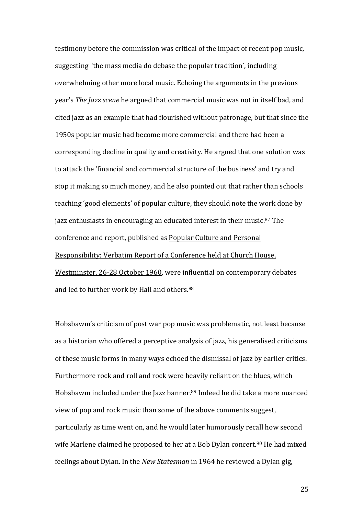testimony before the commission was critical of the impact of recent pop music, suggesting 'the mass media do debase the popular tradition', including overwhelming other more local music. Echoing the arguments in the previous year's *The Jazz scene* he argued that commercial music was not in itself bad, and cited jazz as an example that had flourished without patronage, but that since the 1950s popular music had become more commercial and there had been a corresponding decline in quality and creativity. He argued that one solution was to attack the 'financial and commercial structure of the business' and try and stop it making so much money, and he also pointed out that rather than schools teaching 'good elements' of popular culture, they should note the work done by jazz enthusiasts in encouraging an educated interest in their music.<sup>87</sup> The conference and report, published as Popular Culture and Personal Responsibility: Verbatim Report of a Conference held at Church House, Westminster, 26-28 October 1960, were influential on contemporary debates and led to further work by Hall and others.<sup>88</sup>

Hobsbawm's criticism of post war pop music was problematic, not least because as a historian who offered a perceptive analysis of jazz, his generalised criticisms of these music forms in many ways echoed the dismissal of jazz by earlier critics. Furthermore rock and roll and rock were heavily reliant on the blues, which Hobsbawm included under the Jazz banner.<sup>89</sup> Indeed he did take a more nuanced view of pop and rock music than some of the above comments suggest, particularly as time went on, and he would later humorously recall how second wife Marlene claimed he proposed to her at a Bob Dylan concert.<sup>90</sup> He had mixed feelings about Dylan. In the *New Statesman* in 1964 he reviewed a Dylan gig,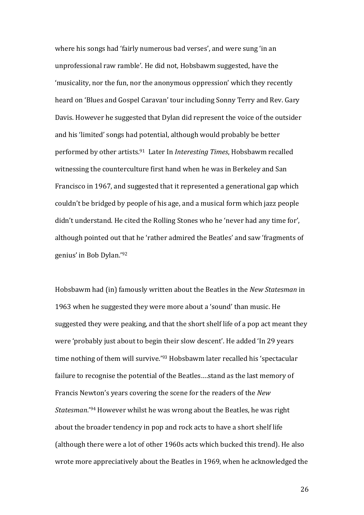where his songs had 'fairly numerous bad verses', and were sung 'in an unprofessional raw ramble'. He did not, Hobsbawm suggested, have the 'musicality, nor the fun, nor the anonymous oppression' which they recently heard on 'Blues and Gospel Caravan' tour including Sonny Terry and Rev. Gary Davis. However he suggested that Dylan did represent the voice of the outsider and his 'limited' songs had potential, although would probably be better performed by other artists.<sup>91</sup> Later In *Interesting Times*, Hobsbawm recalled witnessing the counterculture first hand when he was in Berkeley and San Francisco in 1967, and suggested that it represented a generational gap which couldn't be bridged by people of his age, and a musical form which jazz people didn't understand. He cited the Rolling Stones who he 'never had any time for', although pointed out that he 'rather admired the Beatles' and saw 'fragments of genius' in Bob Dylan.'<sup>92</sup>

Hobsbawm had (in) famously written about the Beatles in the *New Statesman* in 1963 when he suggested they were more about a 'sound' than music. He suggested they were peaking, and that the short shelf life of a pop act meant they were 'probably just about to begin their slow descent'. He added 'In 29 years time nothing of them will survive.'<sup>93</sup> Hobsbawm later recalled his 'spectacular failure to recognise the potential of the Beatles….stand as the last memory of Francis Newton's years covering the scene for the readers of the *New Statesman*.' <sup>94</sup> However whilst he was wrong about the Beatles, he was right about the broader tendency in pop and rock acts to have a short shelf life (although there were a lot of other 1960s acts which bucked this trend). He also wrote more appreciatively about the Beatles in 1969, when he acknowledged the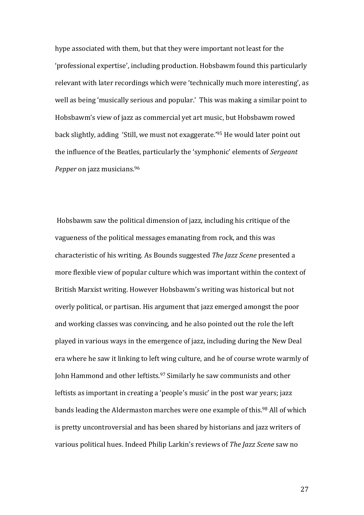hype associated with them, but that they were important not least for the 'professional expertise', including production. Hobsbawm found this particularly relevant with later recordings which were 'technically much more interesting', as well as being 'musically serious and popular.' This was making a similar point to Hobsbawm's view of jazz as commercial yet art music, but Hobsbawm rowed back slightly, adding 'Still, we must not exaggerate.'<sup>95</sup> He would later point out the influence of the Beatles, particularly the 'symphonic' elements of *Sergeant Pepper* on jazz musicians.<sup>96</sup>

Hobsbawm saw the political dimension of jazz, including his critique of the vagueness of the political messages emanating from rock, and this was characteristic of his writing. As Bounds suggested *The Jazz Scene* presented a more flexible view of popular culture which was important within the context of British Marxist writing. However Hobsbawm's writing was historical but not overly political, or partisan. His argument that jazz emerged amongst the poor and working classes was convincing, and he also pointed out the role the left played in various ways in the emergence of jazz, including during the New Deal era where he saw it linking to left wing culture, and he of course wrote warmly of John Hammond and other leftists.<sup>97</sup> Similarly he saw communists and other leftists as important in creating a 'people's music' in the post war years; jazz bands leading the Aldermaston marches were one example of this.<sup>98</sup> All of which is pretty uncontroversial and has been shared by historians and jazz writers of various political hues. Indeed Philip Larkin's reviews of *The Jazz Scene* saw no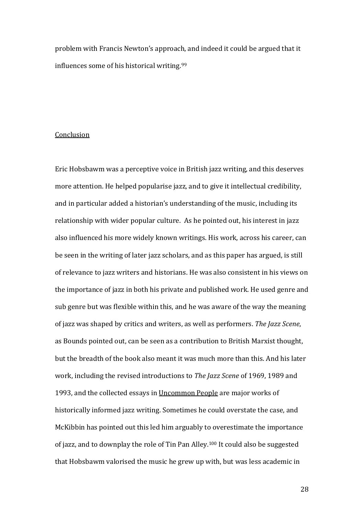problem with Francis Newton's approach, and indeed it could be argued that it influences some of his historical writing.<sup>99</sup>

## Conclusion

Eric Hobsbawm was a perceptive voice in British jazz writing, and this deserves more attention. He helped popularise jazz, and to give it intellectual credibility, and in particular added a historian's understanding of the music, including its relationship with wider popular culture. As he pointed out, his interest in jazz also influenced his more widely known writings. His work, across his career, can be seen in the writing of later jazz scholars, and as this paper has argued, is still of relevance to jazz writers and historians. He was also consistent in his views on the importance of jazz in both his private and published work. He used genre and sub genre but was flexible within this, and he was aware of the way the meaning of jazz was shaped by critics and writers, as well as performers. *The Jazz Scene*, as Bounds pointed out, can be seen as a contribution to British Marxist thought, but the breadth of the book also meant it was much more than this. And his later work, including the revised introductions to *The Jazz Scene* of 1969, 1989 and 1993, and the collected essays in Uncommon People are major works of historically informed jazz writing. Sometimes he could overstate the case, and McKibbin has pointed out this led him arguably to overestimate the importance of jazz, and to downplay the role of Tin Pan Alley.<sup>100</sup> It could also be suggested that Hobsbawm valorised the music he grew up with, but was less academic in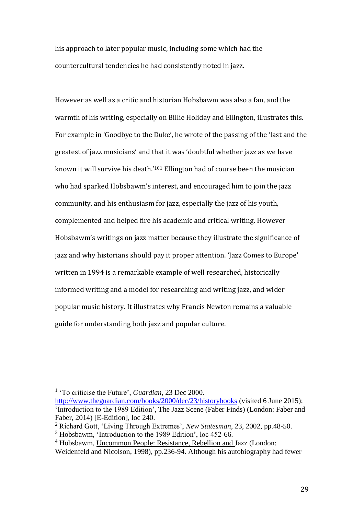his approach to later popular music, including some which had the countercultural tendencies he had consistently noted in jazz.

However as well as a critic and historian Hobsbawm was also a fan, and the warmth of his writing, especially on Billie Holiday and Ellington, illustrates this. For example in 'Goodbye to the Duke', he wrote of the passing of the 'last and the greatest of jazz musicians' and that it was 'doubtful whether jazz as we have known it will survive his death.'<sup>101</sup> Ellington had of course been the musician who had sparked Hobsbawm's interest, and encouraged him to join the jazz community, and his enthusiasm for jazz, especially the jazz of his youth, complemented and helped fire his academic and critical writing. However Hobsbawm's writings on jazz matter because they illustrate the significance of jazz and why historians should pay it proper attention. 'Jazz Comes to Europe' written in 1994 is a remarkable example of well researched, historically informed writing and a model for researching and writing jazz, and wider popular music history. It illustrates why Francis Newton remains a valuable guide for understanding both jazz and popular culture.

1 'To criticise the Future', *Guardian*, 23 Dec 2000. <http://www.theguardian.com/books/2000/dec/23/historybooks> (visited 6 June 2015); 'Introduction to the 1989 Edition', The Jazz Scene (Faber Finds) (London: Faber and Faber, 2014) [E-Edition], loc 240.

 $\overline{a}$ 

<sup>2</sup> Richard Gott, 'Living Through Extremes', *New Statesman*, 23, 2002, pp.48-50.

<sup>3</sup> Hobsbawm, 'Introduction to the 1989 Edition', loc 452-66.

<sup>4</sup> Hobsbawm, Uncommon People: Resistance, Rebellion and Jazz (London: Weidenfeld and Nicolson, 1998), pp.236-94. Although his autobiography had fewer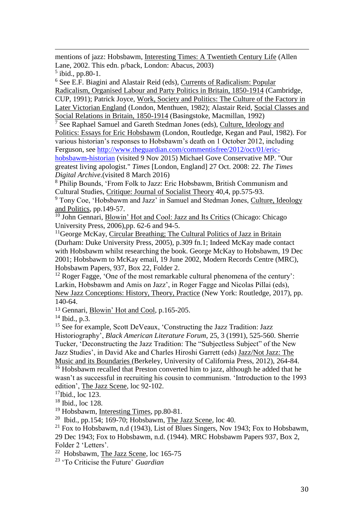$\overline{a}$ mentions of jazz: Hobsbawm, Interesting Times: A Twentieth Century Life (Allen Lane, 2002. This edn. p/back, London: Abacus, 2003) 5 ibid., pp.80-1.

<sup>6</sup> See E.F. Biagini and Alastair Reid (eds), Currents of Radicalism: Popular Radicalism, Organised Labour and Party Politics in Britain, 1850-1914 (Cambridge, CUP, 1991); Patrick Joyce, Work, Society and Politics: The Culture of the Factory in Later Victorian England (London, Menthuen, 1982); Alastair Reid, Social Classes and Social Relations in Britain, 1850-1914 (Basingstoke, Macmillan, 1992)

<sup>7</sup> See Raphael Samuel and Gareth Stedman Jones (eds), Culture, Ideology and Politics: Essays for Eric Hobsbawm (London, Routledge, Kegan and Paul, 1982). For various historian's responses to Hobsbawm's death on 1 October 2012, including Ferguson, see [http://www.theguardian.com/commentisfree/2012/oct/01/eric](http://www.theguardian.com/commentisfree/2012/oct/01/eric-hobsbawm-historian)[hobsbawm-historian](http://www.theguardian.com/commentisfree/2012/oct/01/eric-hobsbawm-historian) (visited 9 Nov 2015) Michael Gove Conservative MP. "Our greatest living apologist." *Times* [London, England] 27 Oct. 2008: 22. *The Times* 

*Digital Archive*.(visited 8 March 2016)

<sup>8</sup> Philip Bounds, 'From Folk to Jazz: Eric Hobsbawm, British Communism and Cultural Studies, Critique: Journal of Socialist Theory 40,4, pp.575-93.

<sup>9</sup> Tony Coe, 'Hobsbawm and Jazz' in Samuel and Stedman Jones, Culture, Ideology and Politics, pp.149-57.

<sup>10</sup> John Gennari, Blowin' Hot and Cool: Jazz and Its Critics (Chicago: Chicago University Press, 2006),pp. 62-6 and 94-5.

<sup>11</sup>George McKay, Circular Breathing; The Cultural Politics of Jazz in Britain (Durham: Duke University Press, 2005), p.309 fn.1; Indeed McKay made contact with Hobsbawm whilst researching the book. George McKay to Hobsbawm, 19 Dec 2001; Hobsbawm to McKay email, 19 June 2002, Modern Records Centre (MRC), Hobsbawm Papers, 937, Box 22, Folder 2.

<sup>12</sup> Roger Fagge, 'One of the most remarkable cultural phenomena of the century': Larkin, Hobsbawm and Amis on Jazz', in Roger Fagge and Nicolas Pillai (eds), New Jazz Conceptions: History, Theory, Practice (New York: Routledge, 2017), pp. 140-64.

<sup>13</sup> Gennari, Blowin' Hot and Cool, p.165-205.

 $14$  Ibid., p.3.

<sup>15</sup> See for example, Scott DeVeaux, 'Constructing the Jazz Tradition: Jazz Historiography', *Black American Literature Forum*, 25, 3 (1991), 525-560. Sherrie Tucker, 'Deconstructing the Jazz Tradition: The "Subjectless Subject" of the New Jazz Studies', in David Ake and Charles Hiroshi Garrett (eds) Jazz/Not Jazz: The Music and its Boundaries (Berkeley, University of California Press, 2012), 264-84.

<sup>16</sup> Hobsbawm recalled that Preston converted him to jazz, although he added that he wasn't as successful in recruiting his cousin to communism. 'Introduction to the 1993 edition', The Jazz Scene, loc 92-102.

 $17$ Ibid., loc 123.

<sup>18</sup> Ibid., loc 128.

<sup>19</sup> Hobsbawm, Interesting Times, pp.80-81.

<sup>20</sup> Ibid., pp.154; 169-70; Hobsbawm, The Jazz Scene, loc 40.

<sup>21</sup> Fox to Hobsbawm, n.d (1943), List of Blues Singers, Nov 1943; Fox to Hobsbawm,

29 Dec 1943; Fox to Hobsbawm, n.d. (1944). MRC Hobsbawm Papers 937, Box 2, Folder 2 'Letters'.

<sup>22</sup> Hobsbawm, The Jazz Scene, loc 165-75

<sup>23</sup> 'To Criticise the Future' *Guardian*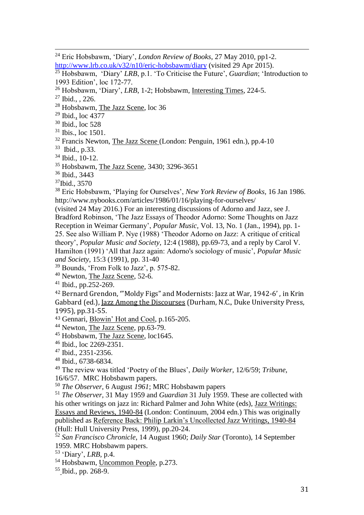- <sup>28</sup> Hobsbawm, The Jazz Scene, loc 36
- <sup>29</sup> Ibid., loc 4377
- <sup>30</sup> Ibid., loc 528
- <sup>31</sup> Ibis., loc 1501.
- <sup>32</sup> Francis Newton, The Jazz Scene (London: Penguin, 1961 edn.), pp.4-10
- <sup>33</sup> Ibid., p.33.
- <sup>34</sup> Ibid., 10-12.
- <sup>35</sup> Hobsbawm, The Jazz Scene, 3430; 3296-3651
- <sup>36</sup> Ibid., 3443
- <sup>37</sup>Ibid., 3570

<sup>38</sup> Eric Hobsbawm, 'Playing for Ourselves', *New York Review of Books,* 16 Jan 1986. http://www.nybooks.com/articles/1986/01/16/playing-for-ourselves/

(visited 24 May 2016.) For an interesting discussions of Adorno and Jazz, see J.

Bradford Robinson, 'The Jazz Essays of Theodor Adorno: Some Thoughts on Jazz

Reception in Weimar Germany', *Popular Music,* Vol. 13, No. 1 (Jan., 1994), pp. 1- 25. See also William P. Nye (1988) 'Theodor Adorno on Jazz: A critique of critical

theory', *Popular Music and Society*, 12:4 (1988), pp.69-73, and a reply by Carol V. Hamilton (1991) 'All that Jazz again: Adorno's sociology of music', *Popular Music and Society*, 15:3 (1991), pp. 31-40

<sup>39</sup> Bounds, 'From Folk to Jazz', p. 575-82.

- <sup>40</sup> Newton, The Jazz Scene, 52-6.
- <sup>41</sup> Ibid., pp.252-269.

<sup>42</sup> Bernard Grendon, '"Moldy Figs" and Modernists: Jazz at War, 1942-6' , in Krin Gabbard (ed.), Jazz Among the Discourses (Durham, N.C., Duke University Press, 1995), pp.31-55.

<sup>43</sup> Gennari, Blowin' Hot and Cool, p.165-205.

<sup>44</sup> Newton, The Jazz Scene, pp.63-79.

<sup>45</sup> Hobsbawm, The Jazz Scene, loc1645.

<sup>46</sup> Ibid., loc 2269-2351.

<sup>47</sup> Ibid., 2351-2356.

<sup>48</sup> Ibid., 6738-6834.

<sup>49</sup> The review was titled 'Poetry of the Blues', *Daily Worker,* 12/6/59; *Tribune*, 16/6/57. MRC Hobsbawm papers.

<sup>50</sup> *The Observer,* 6 August *1961*; MRC Hobsbawm papers

<sup>51</sup> *The Observer,* 31 May 1959 and *Guardian* 31 July 1959. These are collected with his other writings on jazz in: Richard Palmer and John White (eds), Jazz Writings: Essays and Reviews, 1940-84 (London: Continuum, 2004 edn.) This was originally published as Reference Back: Philip Larkin's Uncollected Jazz Writings, 1940-84 (Hull: Hull University Press, 1999), pp.20-24.

<sup>52</sup> *San Francisco Chronicle*, 14 August 1960; *Daily Star* (Toronto), 14 September 1959. MRC Hobsbawm papers.

<sup>54</sup> Hobsbawm, Uncommon People, p.273.

 $\overline{a}$ <sup>24</sup> Eric Hobsbawm, 'Diary', *London Review of Books*, 27 May 2010, pp1-2. <http://www.lrb.co.uk/v32/n10/eric-hobsbawm/diary> (visited 29 Apr 2015).

<sup>25</sup> Hobsbawm, 'Diary' *LRB*, p.1. 'To Criticise the Future', *Guardian*; 'Introduction to 1993 Edition', loc 172-77.

<sup>&</sup>lt;sup>26</sup> Hobsbawm, 'Diary', *LRB*, 1-2; Hobsbawm, Interesting Times, 224-5.

 $27$  Ibid., , 226.

<sup>53</sup> 'Diary', *LRB,* p.4.

<sup>55</sup> Ibid., pp. 268-9.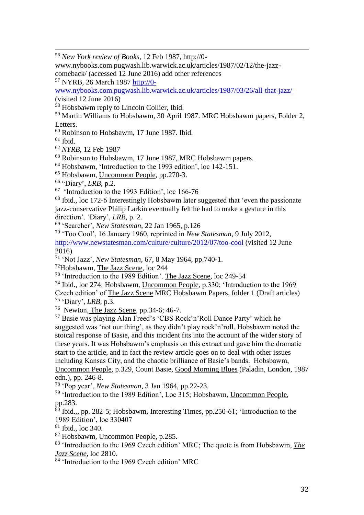$\overline{a}$ <sup>56</sup> *New York review of Books*, 12 Feb 1987, http://0-

www.nybooks.com.pugwash.lib.warwick.ac.uk/articles/1987/02/12/the-jazz-

comeback/ (accessed 12 June 2016) add other references

[www.nybooks.com.pugwash.lib.warwick.ac.uk/articles/1987/03/26/all-that-jazz/](http://0-www.nybooks.com.pugwash.lib.warwick.ac.uk/articles/1987/03/26/all-that-jazz/) (visited 12 June 2016)

<sup>58</sup> Hobsbawm reply to Lincoln Collier, Ibid.

<sup>59</sup> Martin Williams to Hobsbawm, 30 April 1987. MRC Hobsbawm papers, Folder 2, Letters.

<sup>60</sup> Robinson to Hobsbawm, 17 June 1987. Ibid.

 $61$  Ibid.

<sup>62</sup> *NYRB*, 12 Feb 1987

<sup>63</sup> Robinson to Hobsbawm, 17 June 1987, MRC Hobsbawm papers.

<sup>64</sup> Hobsbawm, 'Introduction to the 1993 edition', loc 142-151.

<sup>65</sup> Hobsbawm, Uncommon People, pp.270-3.

<sup>66</sup> "Diary', *LRB*, p.2.

<sup>67</sup> 'Introduction to the 1993 Edition', loc 166-76

<sup>68</sup> Ibid., loc 172-6 Interestingly Hobsbawm later suggested that 'even the passionate jazz-conservative Philip Larkin eventually felt he had to make a gesture in this direction'. 'Diary', *LRB*, p. 2.

<sup>69</sup> 'Searcher'*, New Statesman,* 22 Jan 1965, p.126

<sup>70</sup> 'Too Cool', 16 January 1960, reprinted in *New Statesman*, 9 July 2012, <http://www.newstatesman.com/culture/culture/2012/07/too-cool> (visited 12 June 2016)

<sup>71</sup> 'Not Jazz', *New Statesman*, 67, 8 May 1964, pp.740-1.

<sup>72</sup>Hobsbawm, The Jazz Scene, loc 244

<sup>73</sup> 'Introduction to the 1989 Edition'. The Jazz Scene, loc 249-54

<sup>74</sup> Ibid., loc 274; Hobsbawm, Uncommon People, p.330; 'Introduction to the 1969 Czech edition' of The Jazz Scene MRC Hobsbawm Papers, folder 1 (Draft articles)

<sup>75</sup> 'Diary', *LRB*, p.3.

<sup>76</sup> Newton, The Jazz Scene, pp.34-6; 46-7.

<sup>77</sup> Basie was playing Alan Freed's 'CBS Rock'n'Roll Dance Party' which he suggested was 'not our thing', as they didn't play rock'n'roll. Hobsbawm noted the stoical response of Basie, and this incident fits into the account of the wider story of these years. It was Hobsbawm's emphasis on this extract and gave him the dramatic start to the article, and in fact the review article goes on to deal with other issues including Kansas City, and the chaotic brilliance of Basie's bands. Hobsbawm, Uncommon People, p.329, Count Basie, Good Morning Blues (Paladin, London, 1987 edn.), pp. 246-8.

<sup>78</sup> 'Pop year', *New Statesman*, 3 Jan 1964, pp.22-23.

<sup>79</sup> 'Introduction to the 1989 Edition', Loc 315; Hobsbawm, Uncommon People, pp.283.

<sup>80</sup> Ibid.,, pp. 282-5; Hobsbawm, Interesting Times, pp. 250-61; 'Introduction to the 1989 Edition', loc 330407

<sup>81</sup> Ibid., loc 340.

<sup>82</sup> Hobsbawm, Uncommon People, p.285.

<sup>83</sup> 'Introduction to the 1969 Czech edition' MRC; The quote is from Hobsbawm, *The Jazz Scene*, loc 2810.

<sup>84</sup> 'Introduction to the 1969 Czech edition' MRC

<sup>57</sup> NYRB, 26 March 1987 [http://0-](http://0-www.nybooks.com.pugwash.lib.warwick.ac.uk/articles/1987/03/26/all-that-jazz/)